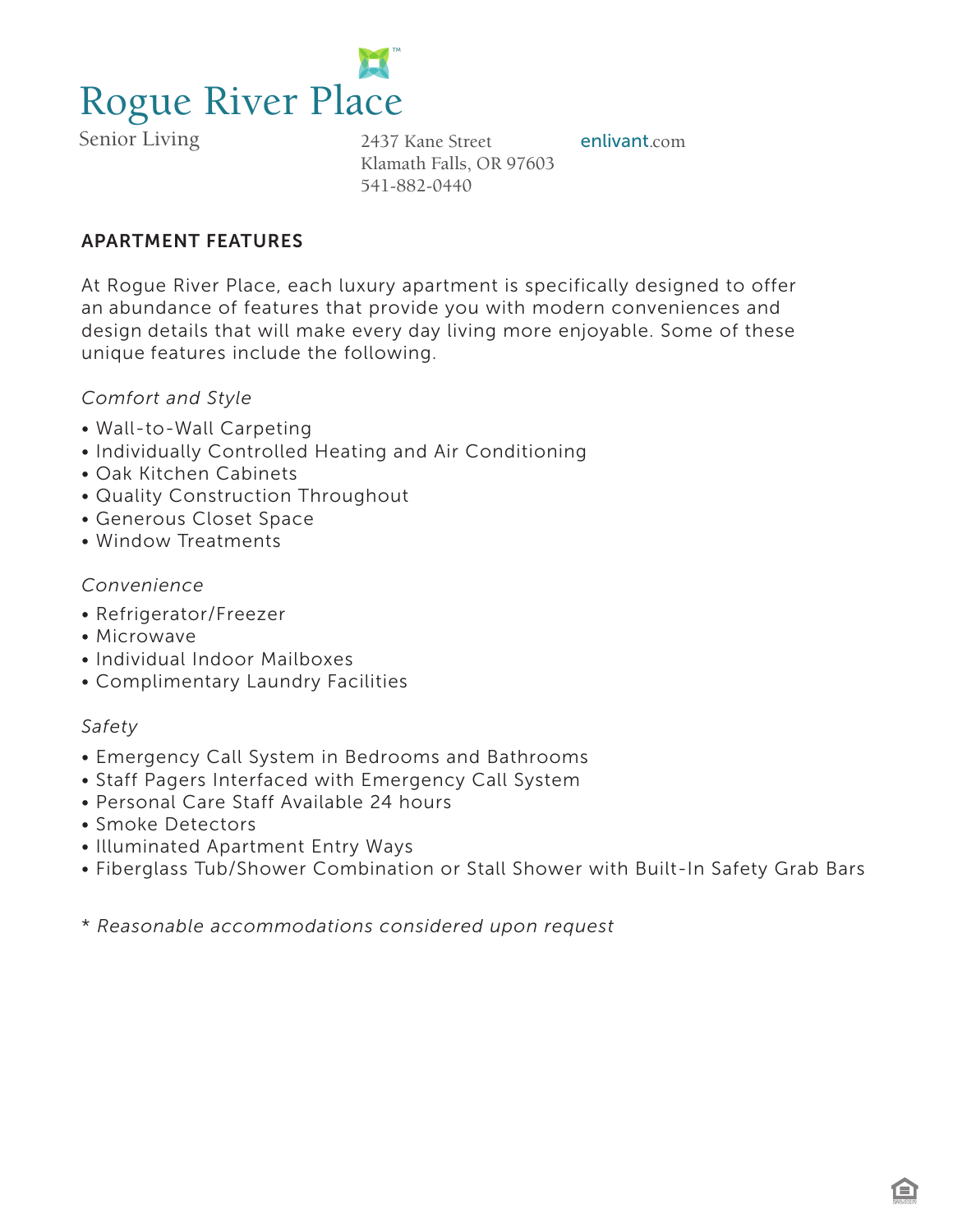

Senior Living 2437 Kane Street **enlivant**.com Klamath Falls, OR 97603 541-882-0440

# APARTMENT FEATURES

At Rogue River Place, each luxury apartment is specifically designed to offer an abundance of features that provide you with modern conveniences and design details that will make every day living more enjoyable. Some of these unique features include the following.

## *Comfort and Style*

- Wall-to-Wall Carpeting
- Individually Controlled Heating and Air Conditioning
- Oak Kitchen Cabinets
- Quality Construction Throughout
- Generous Closet Space
- Window Treatments

## *Convenience*

- Refrigerator/Freezer
- Microwave
- Individual Indoor Mailboxes
- Complimentary Laundry Facilities

## *Safety*

- Emergency Call System in Bedrooms and Bathrooms
- Staff Pagers Interfaced with Emergency Call System
- Personal Care Staff Available 24 hours
- Smoke Detectors
- Illuminated Apartment Entry Ways
- Fiberglass Tub/Shower Combination or Stall Shower with Built-In Safety Grab Bars

\* *Reasonable accommodations considered upon request*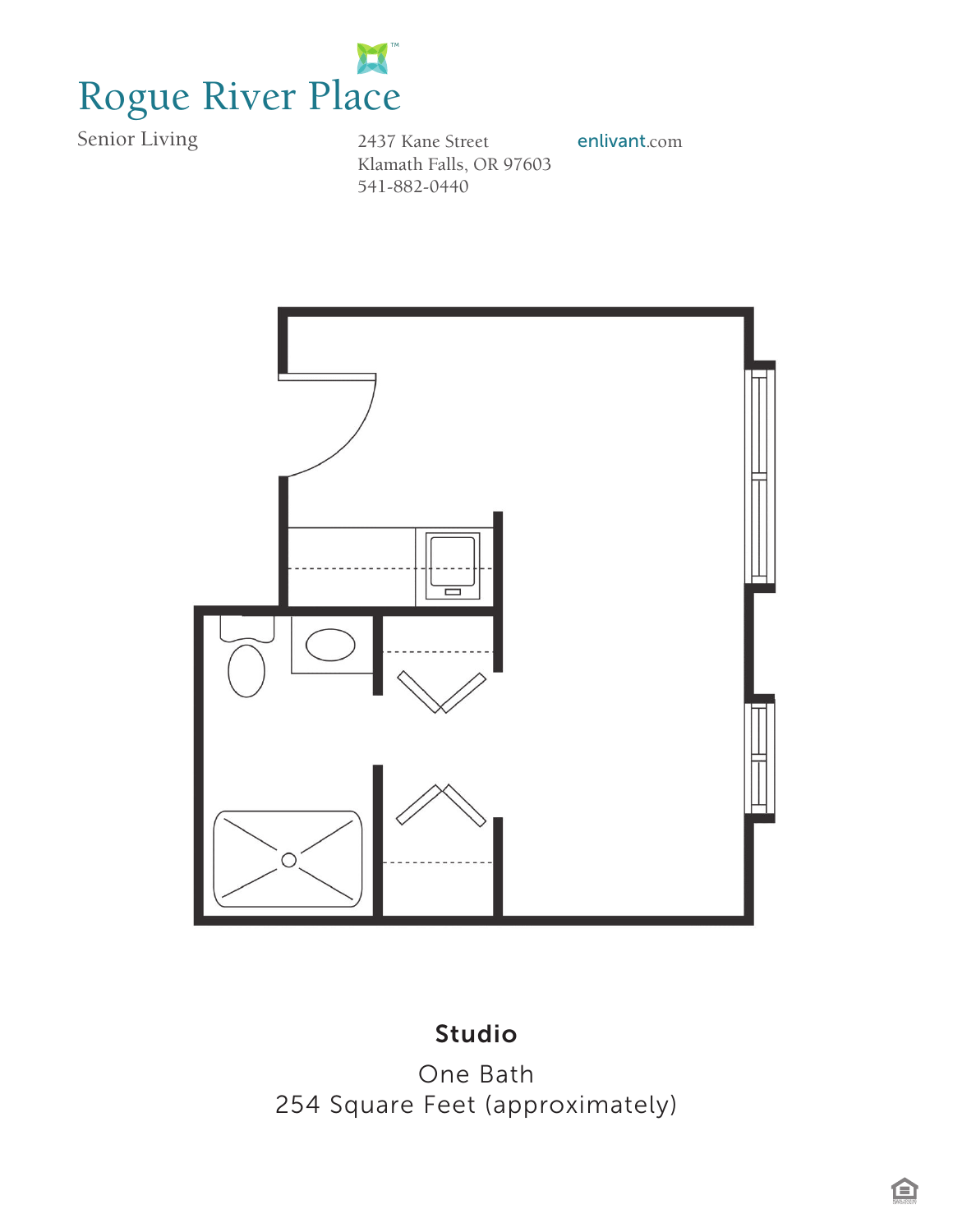

*Linkville House* 541-882-0440 Senior Living 2437 Kane Street **enlivant**.com Klamath Falls, OR 97603



# *254 Square Feet* Studio*(approximately)*

One Bath 254 Square Feet (approximately)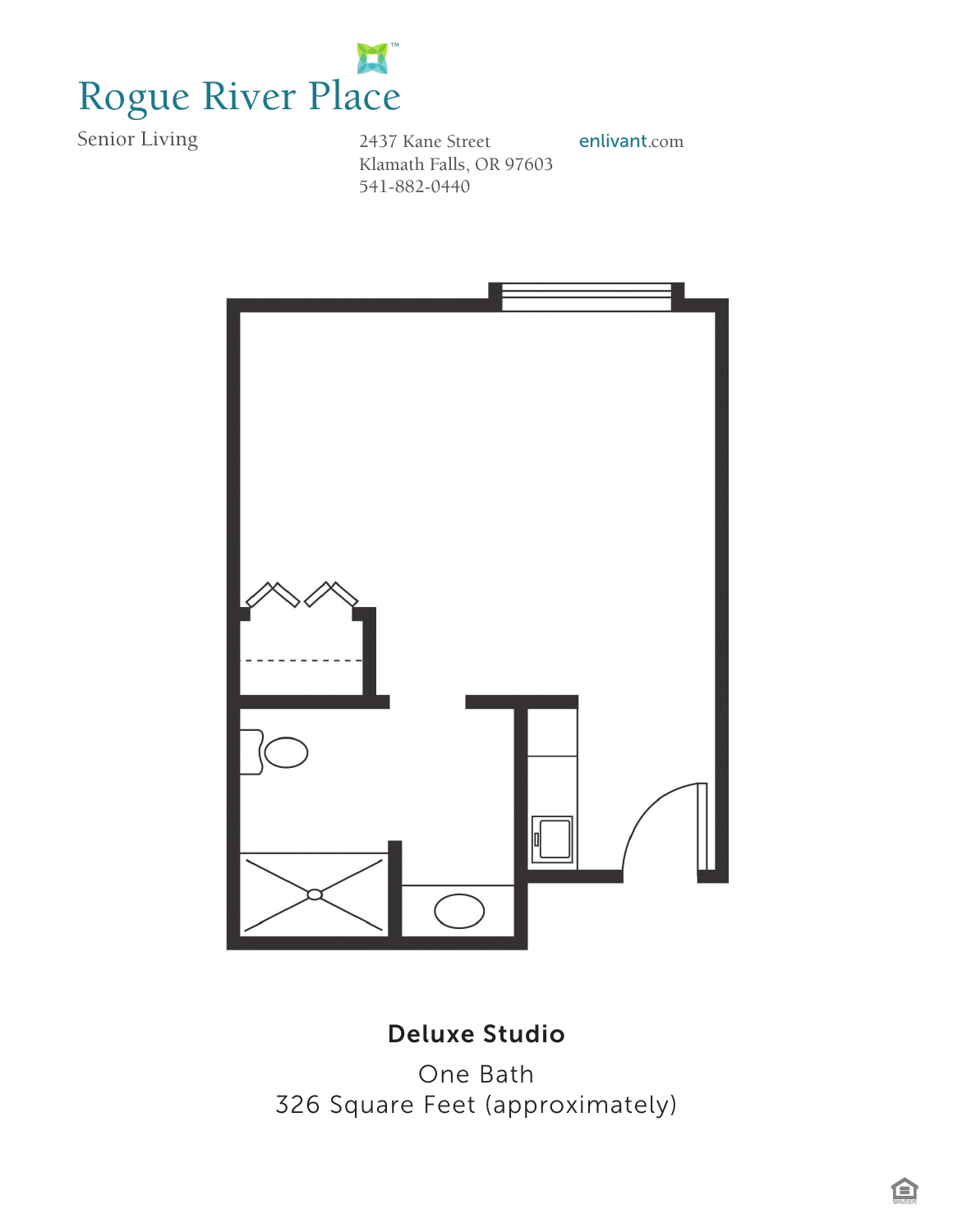

*Linkville House* 541-882-0440 Senior Living 2437 Kane Street **enlivant**.com Klamath Falls, OR 97603



#### *Studio Deluxe* **Deluxe Studio**

*326 Square Feet (approximately)* One Bath 326 Square Feet (approximately)